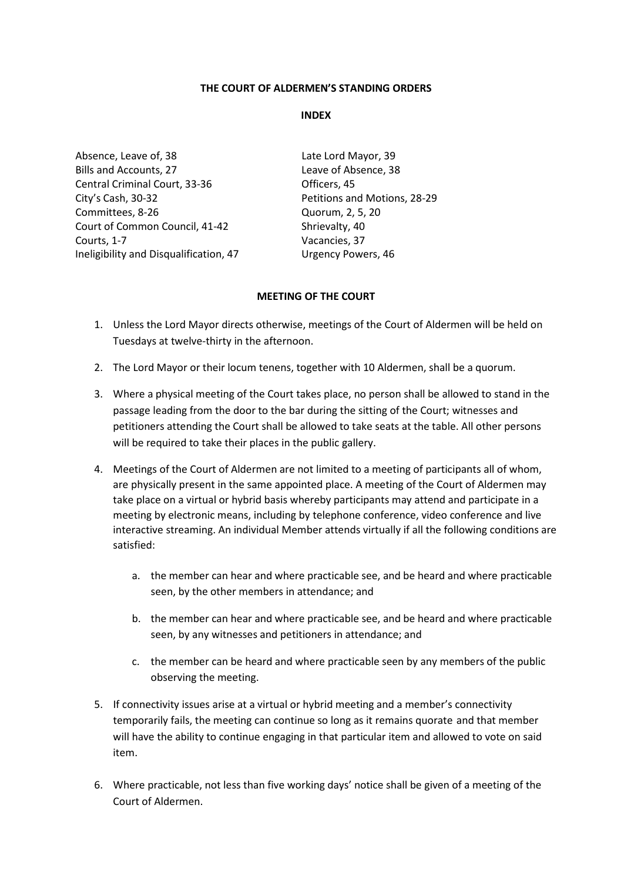### **THE COURT OF ALDERMEN'S STANDING ORDERS**

### **INDEX**

Absence, Leave of, 38 Late Lord Mayor, 39 Bills and Accounts, 27 Leave of Absence, 38 Central Criminal Court, 33-36 Officers, 45 City's Cash, 30-32 Petitions and Motions, 28-29 Committees, 8-26 Quorum, 2, 5, 20 Court of Common Council, 41-42 Shrievalty, 40 Courts, 1-7 Vacancies, 37 Ineligibility and Disqualification, 47 Urgency Powers, 46

### **MEETING OF THE COURT**

- 1. Unless the Lord Mayor directs otherwise, meetings of the Court of Aldermen will be held on Tuesdays at twelve-thirty in the afternoon.
- 2. The Lord Mayor or their locum tenens, together with 10 Aldermen, shall be a quorum.
- 3. Where a physical meeting of the Court takes place, no person shall be allowed to stand in the passage leading from the door to the bar during the sitting of the Court; witnesses and petitioners attending the Court shall be allowed to take seats at the table. All other persons will be required to take their places in the public gallery.
- 4. Meetings of the Court of Aldermen are not limited to a meeting of participants all of whom, are physically present in the same appointed place. A meeting of the Court of Aldermen may take place on a virtual or hybrid basis whereby participants may attend and participate in a meeting by electronic means, including by telephone conference, video conference and live interactive streaming. An individual Member attends virtually if all the following conditions are satisfied:
	- a. the member can hear and where practicable see, and be heard and where practicable seen, by the other members in attendance; and
	- b. the member can hear and where practicable see, and be heard and where practicable seen, by any witnesses and petitioners in attendance; and
	- c. the member can be heard and where practicable seen by any members of the public observing the meeting.
- 5. If connectivity issues arise at a virtual or hybrid meeting and a member's connectivity temporarily fails, the meeting can continue so long as it remains quorate and that member will have the ability to continue engaging in that particular item and allowed to vote on said item.
- 6. Where practicable, not less than five working days' notice shall be given of a meeting of the Court of Aldermen.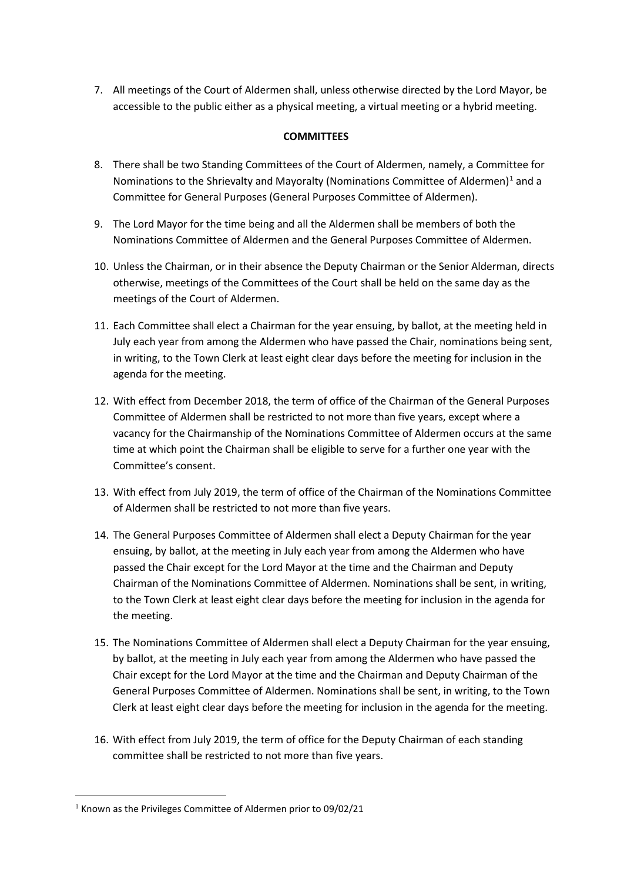7. All meetings of the Court of Aldermen shall, unless otherwise directed by the Lord Mayor, be accessible to the public either as a physical meeting, a virtual meeting or a hybrid meeting.

## **COMMITTEES**

- 8. There shall be two Standing Committees of the Court of Aldermen, namely, a Committee for Nominations to the Shrievalty and Mayoralty (Nominations Committee of Aldermen)<sup>[1](#page-1-0)</sup> and a Committee for General Purposes (General Purposes Committee of Aldermen).
- 9. The Lord Mayor for the time being and all the Aldermen shall be members of both the Nominations Committee of Aldermen and the General Purposes Committee of Aldermen.
- 10. Unless the Chairman, or in their absence the Deputy Chairman or the Senior Alderman, directs otherwise, meetings of the Committees of the Court shall be held on the same day as the meetings of the Court of Aldermen.
- 11. Each Committee shall elect a Chairman for the year ensuing, by ballot, at the meeting held in July each year from among the Aldermen who have passed the Chair, nominations being sent, in writing, to the Town Clerk at least eight clear days before the meeting for inclusion in the agenda for the meeting.
- 12. With effect from December 2018, the term of office of the Chairman of the General Purposes Committee of Aldermen shall be restricted to not more than five years, except where a vacancy for the Chairmanship of the Nominations Committee of Aldermen occurs at the same time at which point the Chairman shall be eligible to serve for a further one year with the Committee's consent.
- 13. With effect from July 2019, the term of office of the Chairman of the Nominations Committee of Aldermen shall be restricted to not more than five years.
- 14. The General Purposes Committee of Aldermen shall elect a Deputy Chairman for the year ensuing, by ballot, at the meeting in July each year from among the Aldermen who have passed the Chair except for the Lord Mayor at the time and the Chairman and Deputy Chairman of the Nominations Committee of Aldermen. Nominations shall be sent, in writing, to the Town Clerk at least eight clear days before the meeting for inclusion in the agenda for the meeting.
- 15. The Nominations Committee of Aldermen shall elect a Deputy Chairman for the year ensuing, by ballot, at the meeting in July each year from among the Aldermen who have passed the Chair except for the Lord Mayor at the time and the Chairman and Deputy Chairman of the General Purposes Committee of Aldermen. Nominations shall be sent, in writing, to the Town Clerk at least eight clear days before the meeting for inclusion in the agenda for the meeting.
- 16. With effect from July 2019, the term of office for the Deputy Chairman of each standing committee shall be restricted to not more than five years.

<span id="page-1-0"></span> $1$  Known as the Privileges Committee of Aldermen prior to 09/02/21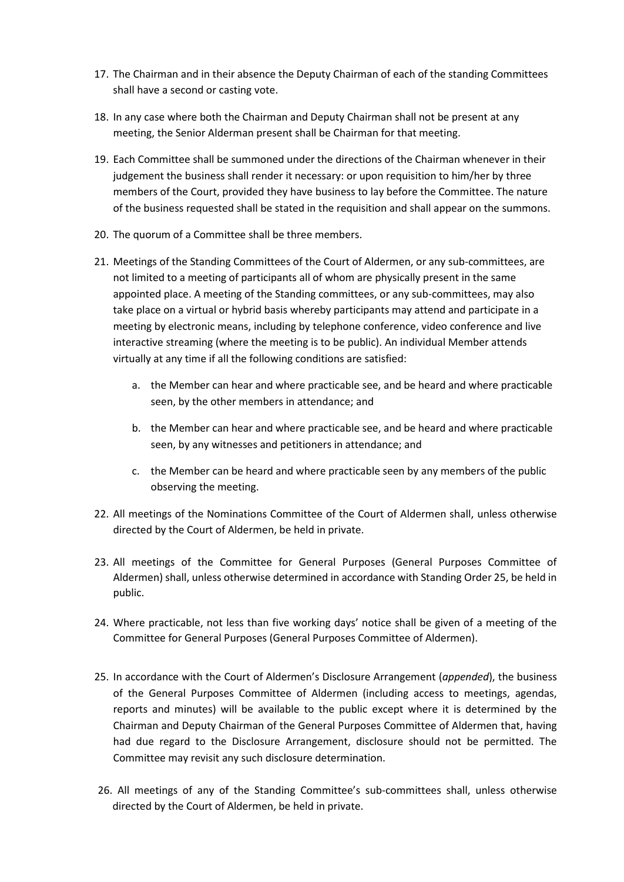- 17. The Chairman and in their absence the Deputy Chairman of each of the standing Committees shall have a second or casting vote.
- 18. In any case where both the Chairman and Deputy Chairman shall not be present at any meeting, the Senior Alderman present shall be Chairman for that meeting.
- 19. Each Committee shall be summoned under the directions of the Chairman whenever in their judgement the business shall render it necessary: or upon requisition to him/her by three members of the Court, provided they have business to lay before the Committee. The nature of the business requested shall be stated in the requisition and shall appear on the summons.
- 20. The quorum of a Committee shall be three members.
- 21. Meetings of the Standing Committees of the Court of Aldermen, or any sub-committees, are not limited to a meeting of participants all of whom are physically present in the same appointed place. A meeting of the Standing committees, or any sub-committees, may also take place on a virtual or hybrid basis whereby participants may attend and participate in a meeting by electronic means, including by telephone conference, video conference and live interactive streaming (where the meeting is to be public). An individual Member attends virtually at any time if all the following conditions are satisfied:
	- a. the Member can hear and where practicable see, and be heard and where practicable seen, by the other members in attendance; and
	- b. the Member can hear and where practicable see, and be heard and where practicable seen, by any witnesses and petitioners in attendance; and
	- c. the Member can be heard and where practicable seen by any members of the public observing the meeting.
- 22. All meetings of the Nominations Committee of the Court of Aldermen shall, unless otherwise directed by the Court of Aldermen, be held in private.
- 23. All meetings of the Committee for General Purposes (General Purposes Committee of Aldermen) shall, unless otherwise determined in accordance with Standing Order 25, be held in public.
- 24. Where practicable, not less than five working days' notice shall be given of a meeting of the Committee for General Purposes (General Purposes Committee of Aldermen).
- 25. In accordance with the Court of Aldermen's Disclosure Arrangement (*appended*), the business of the General Purposes Committee of Aldermen (including access to meetings, agendas, reports and minutes) will be available to the public except where it is determined by the Chairman and Deputy Chairman of the General Purposes Committee of Aldermen that, having had due regard to the Disclosure Arrangement, disclosure should not be permitted. The Committee may revisit any such disclosure determination.
- 26. All meetings of any of the Standing Committee's sub-committees shall, unless otherwise directed by the Court of Aldermen, be held in private.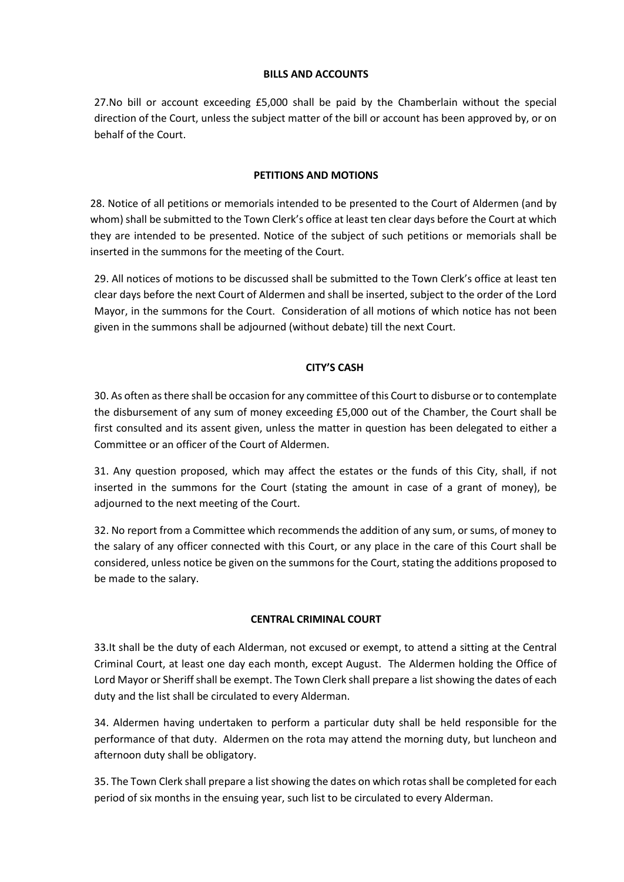### **BILLS AND ACCOUNTS**

27.No bill or account exceeding £5,000 shall be paid by the Chamberlain without the special direction of the Court, unless the subject matter of the bill or account has been approved by, or on behalf of the Court.

## **PETITIONS AND MOTIONS**

28. Notice of all petitions or memorials intended to be presented to the Court of Aldermen (and by whom) shall be submitted to the Town Clerk's office at least ten clear days before the Court at which they are intended to be presented. Notice of the subject of such petitions or memorials shall be inserted in the summons for the meeting of the Court.

29. All notices of motions to be discussed shall be submitted to the Town Clerk's office at least ten clear days before the next Court of Aldermen and shall be inserted, subject to the order of the Lord Mayor, in the summons for the Court. Consideration of all motions of which notice has not been given in the summons shall be adjourned (without debate) till the next Court.

## **CITY'S CASH**

30. As often as there shall be occasion for any committee of this Court to disburse or to contemplate the disbursement of any sum of money exceeding £5,000 out of the Chamber, the Court shall be first consulted and its assent given, unless the matter in question has been delegated to either a Committee or an officer of the Court of Aldermen.

31. Any question proposed, which may affect the estates or the funds of this City, shall, if not inserted in the summons for the Court (stating the amount in case of a grant of money), be adjourned to the next meeting of the Court.

32. No report from a Committee which recommends the addition of any sum, or sums, of money to the salary of any officer connected with this Court, or any place in the care of this Court shall be considered, unless notice be given on the summons for the Court, stating the additions proposed to be made to the salary.

### **CENTRAL CRIMINAL COURT**

33.It shall be the duty of each Alderman, not excused or exempt, to attend a sitting at the Central Criminal Court, at least one day each month, except August. The Aldermen holding the Office of Lord Mayor or Sheriff shall be exempt. The Town Clerk shall prepare a list showing the dates of each duty and the list shall be circulated to every Alderman.

34. Aldermen having undertaken to perform a particular duty shall be held responsible for the performance of that duty. Aldermen on the rota may attend the morning duty, but luncheon and afternoon duty shall be obligatory.

35. The Town Clerk shall prepare a list showing the dates on which rotas shall be completed for each period of six months in the ensuing year, such list to be circulated to every Alderman.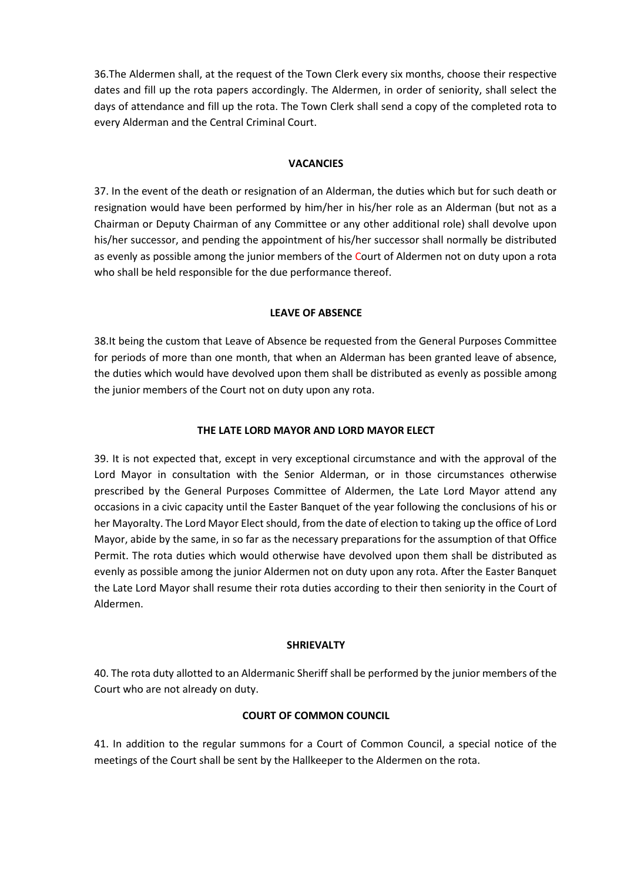36.The Aldermen shall, at the request of the Town Clerk every six months, choose their respective dates and fill up the rota papers accordingly. The Aldermen, in order of seniority, shall select the days of attendance and fill up the rota. The Town Clerk shall send a copy of the completed rota to every Alderman and the Central Criminal Court.

### **VACANCIES**

37. In the event of the death or resignation of an Alderman, the duties which but for such death or resignation would have been performed by him/her in his/her role as an Alderman (but not as a Chairman or Deputy Chairman of any Committee or any other additional role) shall devolve upon his/her successor, and pending the appointment of his/her successor shall normally be distributed as evenly as possible among the junior members of the Court of Aldermen not on duty upon a rota who shall be held responsible for the due performance thereof.

## **LEAVE OF ABSENCE**

38.It being the custom that Leave of Absence be requested from the General Purposes Committee for periods of more than one month, that when an Alderman has been granted leave of absence, the duties which would have devolved upon them shall be distributed as evenly as possible among the junior members of the Court not on duty upon any rota.

## **THE LATE LORD MAYOR AND LORD MAYOR ELECT**

39. It is not expected that, except in very exceptional circumstance and with the approval of the Lord Mayor in consultation with the Senior Alderman, or in those circumstances otherwise prescribed by the General Purposes Committee of Aldermen, the Late Lord Mayor attend any occasions in a civic capacity until the Easter Banquet of the year following the conclusions of his or her Mayoralty. The Lord Mayor Elect should, from the date of election to taking up the office of Lord Mayor, abide by the same, in so far as the necessary preparations for the assumption of that Office Permit. The rota duties which would otherwise have devolved upon them shall be distributed as evenly as possible among the junior Aldermen not on duty upon any rota. After the Easter Banquet the Late Lord Mayor shall resume their rota duties according to their then seniority in the Court of Aldermen.

### **SHRIEVALTY**

40. The rota duty allotted to an Aldermanic Sheriff shall be performed by the junior members of the Court who are not already on duty.

## **COURT OF COMMON COUNCIL**

41. In addition to the regular summons for a Court of Common Council, a special notice of the meetings of the Court shall be sent by the Hallkeeper to the Aldermen on the rota.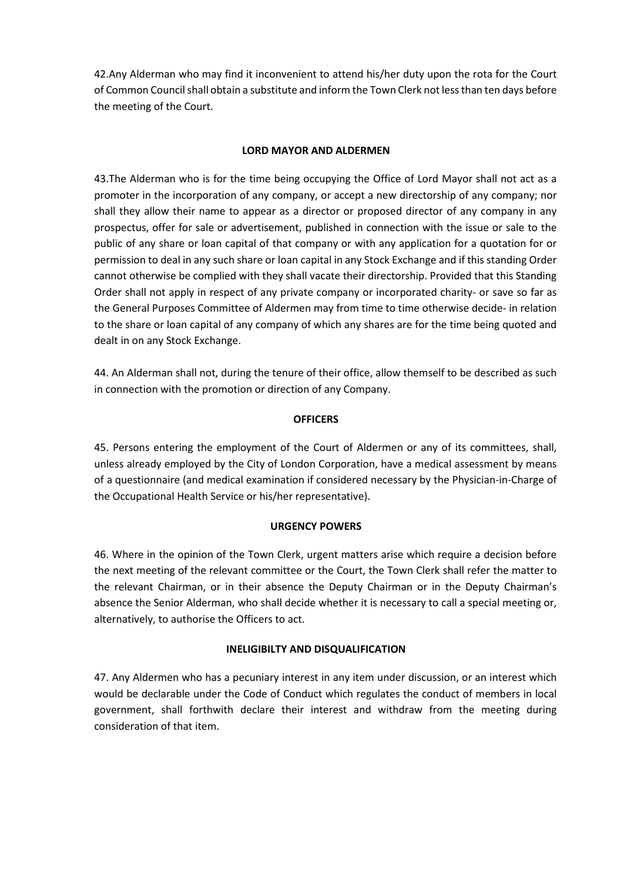42.Any Alderman who may find it inconvenient to attend his/her duty upon the rota for the Court of Common Council shall obtain a substitute and inform the Town Clerk not less than ten days before the meeting of the Court.

### **LORD MAYOR AND ALDERMEN**

43.The Alderman who is for the time being occupying the Office of Lord Mayor shall not act as a promoter in the incorporation of any company, or accept a new directorship of any company; nor shall they allow their name to appear as a director or proposed director of any company in any prospectus, offer for sale or advertisement, published in connection with the issue or sale to the public of any share or loan capital of that company or with any application for a quotation for or permission to deal in any such share or loan capital in any Stock Exchange and if this standing Order cannot otherwise be complied with they shall vacate their directorship. Provided that this Standing Order shall not apply in respect of any private company or incorporated charity- or save so far as the General Purposes Committee of Aldermen may from time to time otherwise decide- in relation to the share or loan capital of any company of which any shares are for the time being quoted and dealt in on any Stock Exchange.

44. An Alderman shall not, during the tenure of their office, allow themself to be described as such in connection with the promotion or direction of any Company.

## **OFFICERS**

45. Persons entering the employment of the Court of Aldermen or any of its committees, shall, unless already employed by the City of London Corporation, have a medical assessment by means of a questionnaire (and medical examination if considered necessary by the Physician-in-Charge of the Occupational Health Service or his/her representative).

## **URGENCY POWERS**

46. Where in the opinion of the Town Clerk, urgent matters arise which require a decision before the next meeting of the relevant committee or the Court, the Town Clerk shall refer the matter to the relevant Chairman, or in their absence the Deputy Chairman or in the Deputy Chairman's absence the Senior Alderman, who shall decide whether it is necessary to call a special meeting or, alternatively, to authorise the Officers to act.

### **INELIGIBILTY AND DISQUALIFICATION**

47. Any Aldermen who has a pecuniary interest in any item under discussion, or an interest which would be declarable under the Code of Conduct which regulates the conduct of members in local government, shall forthwith declare their interest and withdraw from the meeting during consideration of that item.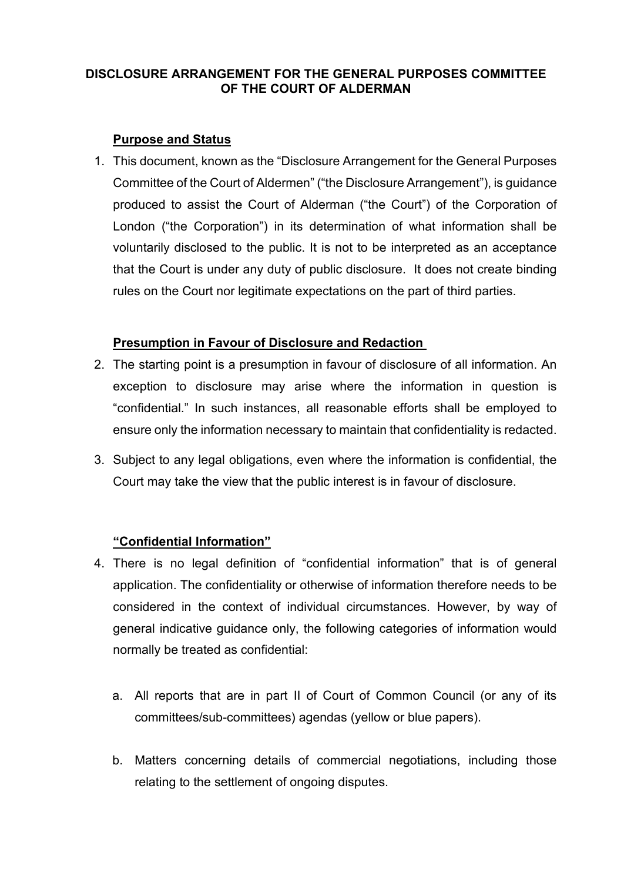# **DISCLOSURE ARRANGEMENT FOR THE GENERAL PURPOSES COMMITTEE OF THE COURT OF ALDERMAN**

# **Purpose and Status**

1. This document, known as the "Disclosure Arrangement for the General Purposes Committee of the Court of Aldermen" ("the Disclosure Arrangement"), is guidance produced to assist the Court of Alderman ("the Court") of the Corporation of London ("the Corporation") in its determination of what information shall be voluntarily disclosed to the public. It is not to be interpreted as an acceptance that the Court is under any duty of public disclosure. It does not create binding rules on the Court nor legitimate expectations on the part of third parties.

## **Presumption in Favour of Disclosure and Redaction**

- 2. The starting point is a presumption in favour of disclosure of all information. An exception to disclosure may arise where the information in question is "confidential." In such instances, all reasonable efforts shall be employed to ensure only the information necessary to maintain that confidentiality is redacted.
- 3. Subject to any legal obligations, even where the information is confidential, the Court may take the view that the public interest is in favour of disclosure.

# **"Confidential Information"**

- 4. There is no legal definition of "confidential information" that is of general application. The confidentiality or otherwise of information therefore needs to be considered in the context of individual circumstances. However, by way of general indicative guidance only, the following categories of information would normally be treated as confidential:
	- a. All reports that are in part II of Court of Common Council (or any of its committees/sub-committees) agendas (yellow or blue papers).
	- b. Matters concerning details of commercial negotiations, including those relating to the settlement of ongoing disputes.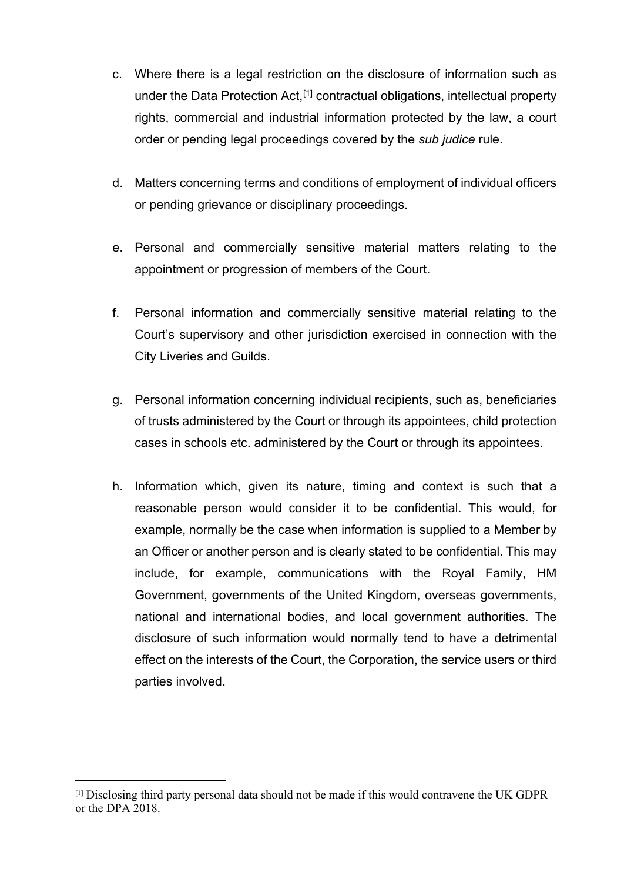- c. Where there is a legal restriction on the disclosure of information such as under the Data Protection Act,[\[1\]](#page-7-0) contractual obligations, intellectual property rights, commercial and industrial information protected by the law, a court order or pending legal proceedings covered by the *sub judice* rule.
- d. Matters concerning terms and conditions of employment of individual officers or pending grievance or disciplinary proceedings.
- e. Personal and commercially sensitive material matters relating to the appointment or progression of members of the Court.
- f. Personal information and commercially sensitive material relating to the Court's supervisory and other jurisdiction exercised in connection with the City Liveries and Guilds.
- g. Personal information concerning individual recipients, such as, beneficiaries of trusts administered by the Court or through its appointees, child protection cases in schools etc. administered by the Court or through its appointees.
- h. Information which, given its nature, timing and context is such that a reasonable person would consider it to be confidential. This would, for example, normally be the case when information is supplied to a Member by an Officer or another person and is clearly stated to be confidential. This may include, for example, communications with the Royal Family, HM Government, governments of the United Kingdom, overseas governments, national and international bodies, and local government authorities. The disclosure of such information would normally tend to have a detrimental effect on the interests of the Court, the Corporation, the service users or third parties involved.

<span id="page-7-0"></span><sup>[1]</sup> Disclosing third party personal data should not be made if this would contravene the UK GDPR or the DPA 2018.